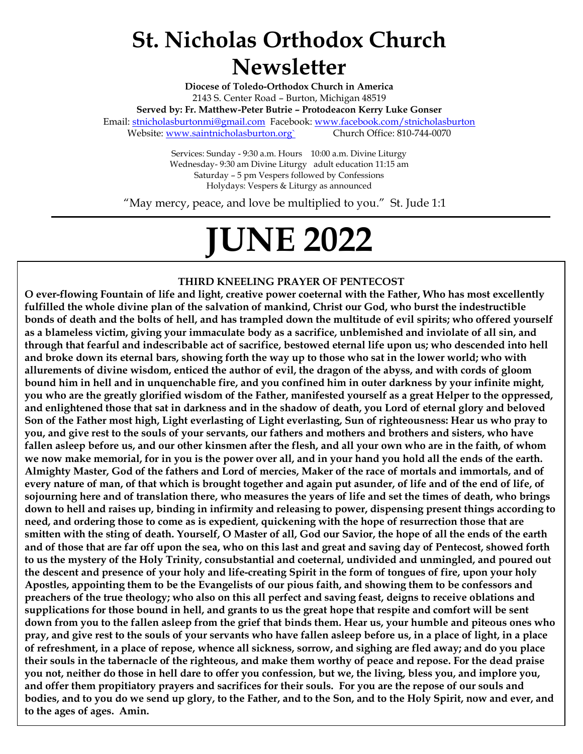## **St. Nicholas Orthodox Church Newsletter**

**Diocese of Toledo-Orthodox Church in America** 2143 S. Center Road – Burton, Michigan 48519 **Served by: Fr. Matthew-Peter Butrie – Protodeacon Kerry Luke Gonser** Email: [stnicholasburtonmi@gmail.com](mailto:stnicholasburtonmi@gmail.com) Facebook[: www.facebook.com/stnicholasburton](file:///C:/Users/dneel/Dropbox/Saint%20Nicholas%20Church%20Files/Newsletter/2021/www.facebook.com/stnicholasburton) Website: www.saintnicholasburton.org` Church Office: 810-744-0070

> Services: Sunday - 9:30 a.m. Hours 10:00 a.m. Divine Liturgy Wednesday- 9:30 am Divine Liturgy adult education 11:15 am Saturday – 5 pm Vespers followed by Confessions Holydays: Vespers & Liturgy as announced

"May mercy, peace, and love be multiplied to you." St. Jude 1:1

# **JUNE 2022**

#### **THIRD KNEELING PRAYER OF PENTECOST**

**O ever-flowing Fountain of life and light, creative power coeternal with the Father, Who has most excellently fulfilled the whole divine plan of the salvation of mankind, Christ our God, who burst the indestructible bonds of death and the bolts of hell, and has trampled down the multitude of evil spirits; who offered yourself as a blameless victim, giving your immaculate body as a sacrifice, unblemished and inviolate of all sin, and through that fearful and indescribable act of sacrifice, bestowed eternal life upon us; who descended into hell and broke down its eternal bars, showing forth the way up to those who sat in the lower world; who with allurements of divine wisdom, enticed the author of evil, the dragon of the abyss, and with cords of gloom bound him in hell and in unquenchable fire, and you confined him in outer darkness by your infinite might, you who are the greatly glorified wisdom of the Father, manifested yourself as a great Helper to the oppressed, and enlightened those that sat in darkness and in the shadow of death, you Lord of eternal glory and beloved Son of the Father most high, Light everlasting of Light everlasting, Sun of righteousness: Hear us who pray to you, and give rest to the souls of your servants, our fathers and mothers and brothers and sisters, who have fallen asleep before us, and our other kinsmen after the flesh, and all your own who are in the faith, of whom we now make memorial, for in you is the power over all, and in your hand you hold all the ends of the earth. Almighty Master, God of the fathers and Lord of mercies, Maker of the race of mortals and immortals, and of every nature of man, of that which is brought together and again put asunder, of life and of the end of life, of sojourning here and of translation there, who measures the years of life and set the times of death, who brings down to hell and raises up, binding in infirmity and releasing to power, dispensing present things according to need, and ordering those to come as is expedient, quickening with the hope of resurrection those that are smitten with the sting of death. Yourself, O Master of all, God our Savior, the hope of all the ends of the earth and of those that are far off upon the sea, who on this last and great and saving day of Pentecost, showed forth to us the mystery of the Holy Trinity, consubstantial and coeternal, undivided and unmingled, and poured out the descent and presence of your holy and life-creating Spirit in the form of tongues of fire, upon your holy Apostles, appointing them to be the Evangelists of our pious faith, and showing them to be confessors and preachers of the true theology; who also on this all perfect and saving feast, deigns to receive oblations and supplications for those bound in hell, and grants to us the great hope that respite and comfort will be sent down from you to the fallen asleep from the grief that binds them. Hear us, your humble and piteous ones who pray, and give rest to the souls of your servants who have fallen asleep before us, in a place of light, in a place of refreshment, in a place of repose, whence all sickness, sorrow, and sighing are fled away; and do you place their souls in the tabernacle of the righteous, and make them worthy of peace and repose. For the dead praise you not, neither do those in hell dare to offer you confession, but we, the living, bless you, and implore you, and offer them propitiatory prayers and sacrifices for their souls. For you are the repose of our souls and bodies, and to you do we send up glory, to the Father, and to the Son, and to the Holy Spirit, now and ever, and to the ages of ages. Amin.**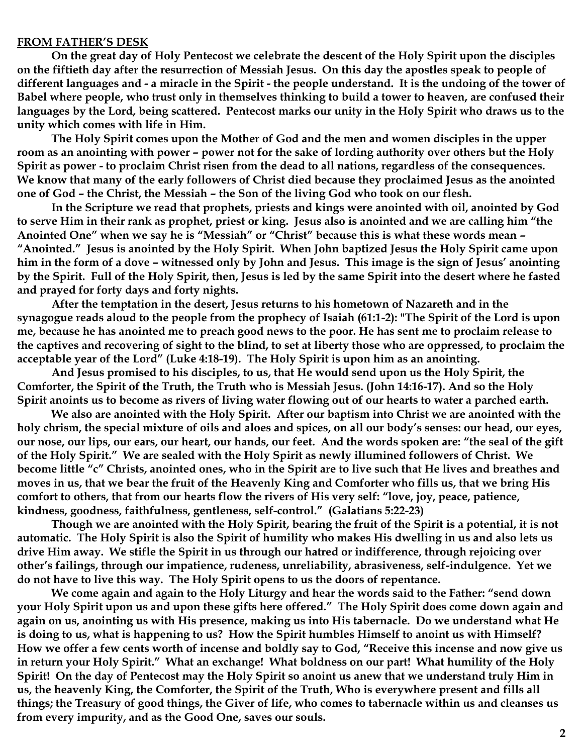#### **FROM FATHER'S DESK**

**On the great day of Holy Pentecost we celebrate the descent of the Holy Spirit upon the disciples on the fiftieth day after the resurrection of Messiah Jesus. On this day the apostles speak to people of different languages and - a miracle in the Spirit - the people understand. It is the undoing of the tower of Babel where people, who trust only in themselves thinking to build a tower to heaven, are confused their languages by the Lord, being scattered. Pentecost marks our unity in the Holy Spirit who draws us to the unity which comes with life in Him.**

**The Holy Spirit comes upon the Mother of God and the men and women disciples in the upper room as an anointing with power – power not for the sake of lording authority over others but the Holy Spirit as power - to proclaim Christ risen from the dead to all nations, regardless of the consequences. We know that many of the early followers of Christ died because they proclaimed Jesus as the anointed one of God – the Christ, the Messiah – the Son of the living God who took on our flesh.**

**In the Scripture we read that prophets, priests and kings were anointed with oil, anointed by God to serve Him in their rank as prophet, priest or king. Jesus also is anointed and we are calling him "the Anointed One" when we say he is "Messiah" or "Christ" because this is what these words mean – "Anointed." Jesus is anointed by the Holy Spirit. When John baptized Jesus the Holy Spirit came upon him in the form of a dove – witnessed only by John and Jesus. This image is the sign of Jesus' anointing by the Spirit. Full of the Holy Spirit, then, Jesus is led by the same Spirit into the desert where he fasted and prayed for forty days and forty nights.** 

**After the temptation in the desert, Jesus returns to his hometown of Nazareth and in the synagogue reads aloud to the people from the prophecy of Isaiah (61:1-2): "The Spirit of the Lord is upon me, because he has anointed me to preach good news to the poor. He has sent me to proclaim release to the captives and recovering of sight to the blind, to set at liberty those who are oppressed, to proclaim the acceptable year of the Lord" (Luke 4:18-19). The Holy Spirit is upon him as an anointing.**

**And Jesus promised to his disciples, to us, that He would send upon us the Holy Spirit, the Comforter, the Spirit of the Truth, the Truth who is Messiah Jesus. (John 14:16-17). And so the Holy Spirit anoints us to become as rivers of living water flowing out of our hearts to water a parched earth.**

**We also are anointed with the Holy Spirit. After our baptism into Christ we are anointed with the holy chrism, the special mixture of oils and aloes and spices, on all our body's senses: our head, our eyes, our nose, our lips, our ears, our heart, our hands, our feet. And the words spoken are: "the seal of the gift of the Holy Spirit." We are sealed with the Holy Spirit as newly illumined followers of Christ. We become little "c" Christs, anointed ones, who in the Spirit are to live such that He lives and breathes and moves in us, that we bear the fruit of the Heavenly King and Comforter who fills us, that we bring His comfort to others, that from our hearts flow the rivers of His very self: "love, joy, peace, patience, kindness, goodness, faithfulness, gentleness, self-control." (Galatians 5:22-23)**

**Though we are anointed with the Holy Spirit, bearing the fruit of the Spirit is a potential, it is not automatic. The Holy Spirit is also the Spirit of humility who makes His dwelling in us and also lets us drive Him away. We stifle the Spirit in us through our hatred or indifference, through rejoicing over other's failings, through our impatience, rudeness, unreliability, abrasiveness, self-indulgence. Yet we do not have to live this way. The Holy Spirit opens to us the doors of repentance.**

**We come again and again to the Holy Liturgy and hear the words said to the Father: "send down your Holy Spirit upon us and upon these gifts here offered." The Holy Spirit does come down again and again on us, anointing us with His presence, making us into His tabernacle. Do we understand what He is doing to us, what is happening to us? How the Spirit humbles Himself to anoint us with Himself? How we offer a few cents worth of incense and boldly say to God, "Receive this incense and now give us in return your Holy Spirit." What an exchange! What boldness on our part! What humility of the Holy Spirit! On the day of Pentecost may the Holy Spirit so anoint us anew that we understand truly Him in us, the heavenly King, the Comforter, the Spirit of the Truth, Who is everywhere present and fills all things; the Treasury of good things, the Giver of life, who comes to tabernacle within us and cleanses us from every impurity, and as the Good One, saves our souls.**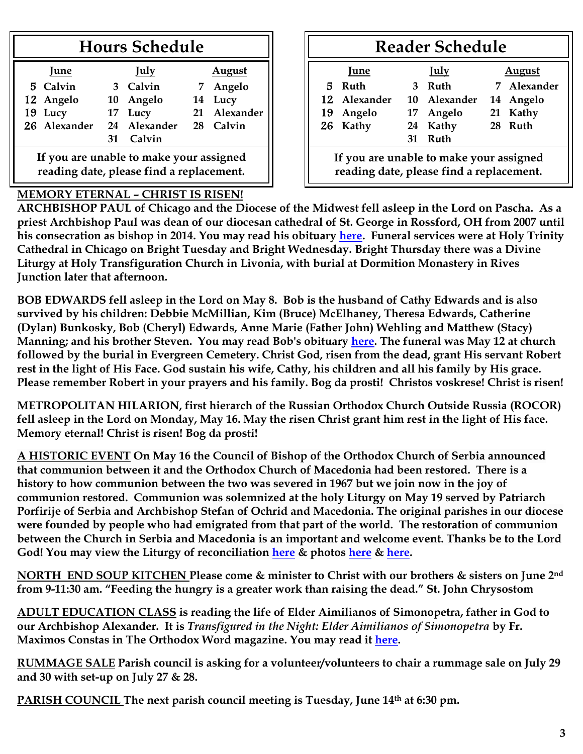## **Hours Schedule**

| June                                    |    | <b>July</b>  |  | <b>August</b> |  |  |
|-----------------------------------------|----|--------------|--|---------------|--|--|
| 5 Calvin                                |    | 3 Calvin     |  | 7 Angelo      |  |  |
| 12 Angelo                               |    | 10 Angelo    |  | 14 Lucy       |  |  |
| 19 Lucy                                 |    | 17 Lucy      |  | 21 Alexander  |  |  |
| 26 Alexander                            |    | 24 Alexander |  | 28 Calvin     |  |  |
|                                         | 31 | Calvin       |  |               |  |  |
| If you are unable to make your accioned |    |              |  |               |  |  |

**If you are unable to make your assigned reading date, please find a replacement.**

## **MEMORY ETERNAL – CHRIST IS RISEN!**

## **Reader Schedule**

| June                                                                                |   | July         | August  |             |  |  |
|-------------------------------------------------------------------------------------|---|--------------|---------|-------------|--|--|
| Ruth<br>5.                                                                          | 3 | Ruth         |         | 7 Alexander |  |  |
| 12 Alexander                                                                        |   | 10 Alexander |         | 14 Angelo   |  |  |
| 19 Angelo                                                                           |   | 17 Angelo    |         | 21 Kathy    |  |  |
| 26 Kathy                                                                            |   | 24 Kathy     | 28 Ruth |             |  |  |
|                                                                                     |   | 31 Ruth      |         |             |  |  |
| If you are unable to make your assigned<br>reading date, please find a replacement. |   |              |         |             |  |  |

**ARCHBISHOP PAUL of Chicago and the Diocese of the Midwest fell asleep in the Lord on Pascha. As a priest Archbishop Paul was dean of our diocesan cathedral of St. George in Rossford, OH from 2007 until his consecration as bishop in 2014. You may read his obituary [here.](https://www.oca.org/in-memoriam/his-eminence-archbishop-paul) Funeral services were at Holy Trinity Cathedral in Chicago on Bright Tuesday and Bright Wednesday. Bright Thursday there was a Divine Liturgy at Holy Transfiguration Church in Livonia, with burial at Dormition Monastery in Rives Junction later that afternoon.** 

**BOB EDWARDS fell asleep in the Lord on May 8. Bob is the husband of Cathy Edwards and is also survived by his children: Debbie McMillian, Kim (Bruce) McElhaney, Theresa Edwards, Catherine (Dylan) Bunkosky, Bob (Cheryl) Edwards, Anne Marie (Father John) Wehling and Matthew (Stacy) Manning; and his brother Steven. You may read Bob's obituary [here.](https://www.swartzfuneralhomeinc.com/obituary/robert-edwards) The funeral was May 12 at church followed by the burial in Evergreen Cemetery. Christ God, risen from the dead, grant His servant Robert rest in the light of His Face. God sustain his wife, Cathy, his children and all his family by His grace. Please remember Robert in your prayers and his family. Bog da prosti! Christos voskrese! Christ is risen!**

**METROPOLITAN HILARION, first hierarch of the Russian Orthodox Church Outside Russia (ROCOR) fell asleep in the Lord on Monday, May 16. May the risen Christ grant him rest in the light of His face. Memory eternal! Christ is risen! Bog da prosti!**

**A HISTORIC EVENT On May 16 the Council of Bishop of the Orthodox Church of Serbia announced that communion between it and the Orthodox Church of Macedonia had been restored. There is a history to how communion between the two was severed in 1967 but we join now in the joy of communion restored. Communion was solemnized at the holy Liturgy on May 19 served by Patriarch Porfirije of Serbia and Archbishop Stefan of Ochrid and Macedonia. The original parishes in our diocese were founded by people who had emigrated from that part of the world. The restoration of communion between the Church in Serbia and Macedonia is an important and welcome event. Thanks be to the Lord God! You may view the Liturgy of reconciliation [here](https://www.youtube.com/watch?v=JV9DZuOSFzQ) & photos [here](http://www.spc.rs/sr/fotogalerija_0) & [here.](http://www.spc.rs/sr/fotogalerija_2)**

**NORTH END SOUP KITCHEN Please come & minister to Christ with our brothers & sisters on June 2nd from 9-11:30 am. "Feeding the hungry is a greater work than raising the dead." St. John Chrysostom**

**ADULT EDUCATION CLASS is reading the life of Elder Aimilianos of Simonopetra, father in God to our Archbishop Alexander. It is** *Transfigured in the Night: Elder Aimilianos of Simonopetra* **by Fr. Maximos Constas in The Orthodox Word magazine. You may read it [here.](https://saintnicholasburton.org/files/Transfigured-in-the-Night-Fr-Aimilianos-of-Simonopetra.pdf)**

**RUMMAGE SALE Parish council is asking for a volunteer/volunteers to chair a rummage sale on July 29 and 30 with set-up on July 27 & 28.**

**PARISH COUNCIL The next parish council meeting is Tuesday, June 14th at 6:30 pm.**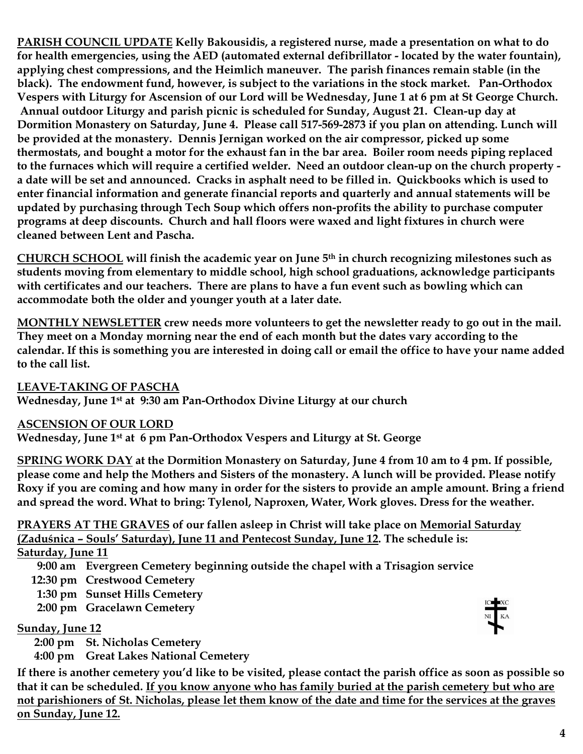**PARISH COUNCIL UPDATE Kelly Bakousidis, a registered nurse, made a presentation on what to do for health emergencies, using the AED (automated external defibrillator - located by the water fountain), applying chest compressions, and the Heimlich maneuver. The parish finances remain stable (in the black). The endowment fund, however, is subject to the variations in the stock market. Pan-Orthodox Vespers with Liturgy for Ascension of our Lord will be Wednesday, June 1 at 6 pm at St George Church. Annual outdoor Liturgy and parish picnic is scheduled for Sunday, August 21. Clean-up day at Dormition Monastery on Saturday, June 4. Please call 517-569-2873 if you plan on attending. Lunch will be provided at the monastery. Dennis Jernigan worked on the air compressor, picked up some thermostats, and bought a motor for the exhaust fan in the bar area. Boiler room needs piping replaced to the furnaces which will require a certified welder. Need an outdoor clean-up on the church property a date will be set and announced. Cracks in asphalt need to be filled in. Quickbooks which is used to enter financial information and generate financial reports and quarterly and annual statements will be updated by purchasing through Tech Soup which offers non-profits the ability to purchase computer programs at deep discounts. Church and hall floors were waxed and light fixtures in church were cleaned between Lent and Pascha.**

**CHURCH SCHOOL will finish the academic year on June 5th in church recognizing milestones such as students moving from elementary to middle school, high school graduations, acknowledge participants with certificates and our teachers. There are plans to have a fun event such as bowling which can accommodate both the older and younger youth at a later date.**

**MONTHLY NEWSLETTER crew needs more volunteers to get the newsletter ready to go out in the mail. They meet on a Monday morning near the end of each month but the dates vary according to the calendar. If this is something you are interested in doing call or email the office to have your name added to the call list.** 

**LEAVE-TAKING OF PASCHA**

**Wednesday, June 1st at 9:30 am Pan-Orthodox Divine Liturgy at our church**

**ASCENSION OF OUR LORD**

**Wednesday, June 1st at 6 pm Pan-Orthodox Vespers and Liturgy at St. George**

**SPRING WORK DAY at the Dormition Monastery on Saturday, June 4 from 10 am to 4 pm. If possible, please come and help the Mothers and Sisters of the monastery. A lunch will be provided. Please notify Roxy if you are coming and how many in order for the sisters to provide an ample amount. Bring a friend and spread the word. What to bring: Tylenol, Naproxen, Water, Work gloves. Dress for the weather.**

**PRAYERS AT THE GRAVES of our fallen asleep in Christ will take place on Memorial Saturday (Zaduśnica – Souls' Saturday), June 11 and Pentecost Sunday, June 12. The schedule is: Saturday, June 11**

**9:00 am Evergreen Cemetery beginning outside the chapel with a Trisagion service**

 **12:30 pm Crestwood Cemetery**

 **1:30 pm Sunset Hills Cemetery**

 **2:00 pm Gracelawn Cemetery**

**Sunday, June 12**

 **2:00 pm St. Nicholas Cemetery**

**4:00 pm Great Lakes National Cemetery**

**If there is another cemetery you'd like to be visited, please contact the parish office as soon as possible so that it can be scheduled. If you know anyone who has family buried at the parish cemetery but who are not parishioners of St. Nicholas, please let them know of the date and time for the services at the graves on Sunday, June 12.**

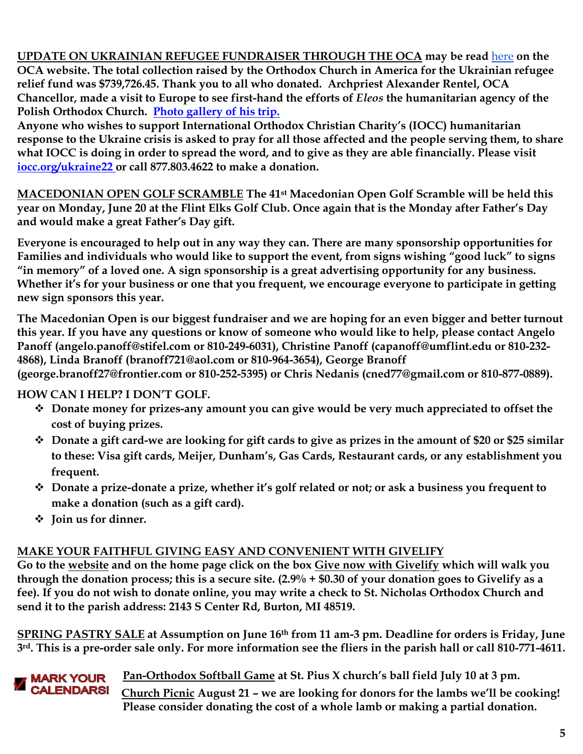**UPDATE ON UKRAINIAN REFUGEE FUNDRAISER THROUGH THE OCA may be read** [here](https://www.oca.org/media/photos/update-on-ukraine-refugee-fundraiser-after-oca-chancellor-archpriest-alexander-rentel-makes-trip-to-europe) **on the OCA website. The total collection raised by the Orthodox Church in America for the Ukrainian refugee relief fund was \$739,726.45. Thank you to all who donated. Archpriest Alexander Rentel, OCA Chancellor, made a visit to Europe to see first-hand the efforts of** *Eleos* **the humanitarian agency of the Polish Orthodox Church. [Photo gallery of his trip.](https://www.oca.org/media/photos/update-on-ukraine-refugee-fundraiser-after-oca-chancellor-archpriest-alexander-rentel-makes-trip-to-europe)**

**Anyone who wishes to support International Orthodox Christian Charity's (IOCC) humanitarian response to the Ukraine crisis is asked to pray for all those affected and the people serving them, to share what IOCC is doing in order to spread the word, and to give as they are able financially. Please visit [iocc.org/ukraine22](https://support.iocc.org/site/Donation2;jsessionid=00000000.app30124b?df_id=7543&mfc_pref=T&7543.donation=form1&NONCE_TOKEN=05245C7685D0FB907A3309557B81ACDD) or call 877.803.4622 to make a donation.**

**MACEDONIAN OPEN GOLF SCRAMBLE The 41st Macedonian Open Golf Scramble will be held this year on Monday, June 20 at the Flint Elks Golf Club. Once again that is the Monday after Father's Day and would make a great Father's Day gift.** 

**Everyone is encouraged to help out in any way they can. There are many sponsorship opportunities for Families and individuals who would like to support the event, from signs wishing "good luck" to signs "in memory" of a loved one. A sign sponsorship is a great advertising opportunity for any business. Whether it's for your business or one that you frequent, we encourage everyone to participate in getting new sign sponsors this year.** 

**The Macedonian Open is our biggest fundraiser and we are hoping for an even bigger and better turnout this year. If you have any questions or know of someone who would like to help, please contact Angelo Panoff (angelo.panoff@stifel.com or 810-249-6031), Christine Panoff (capanoff@umflint.edu or 810-232- 4868), Linda Branoff (branoff721@aol.com or 810-964-3654), George Branoff (george.branoff27@frontier.com or 810-252-5395) or Chris Nedanis (cned77@gmail.com or 810-877-0889).** 

**HOW CAN I HELP? I DON'T GOLF.** 

- **Donate money for prizes-any amount you can give would be very much appreciated to offset the cost of buying prizes.**
- **Donate a gift card-we are looking for gift cards to give as prizes in the amount of \$20 or \$25 similar to these: Visa gift cards, Meijer, Dunham's, Gas Cards, Restaurant cards, or any establishment you frequent.**
- **Donate a prize-donate a prize, whether it's golf related or not; or ask a business you frequent to make a donation (such as a gift card).**
- **Join us for dinner.**

## **MAKE YOUR FAITHFUL GIVING EASY AND CONVENIENT WITH GIVELIFY**

**Go to the [website](http://www.saintnicholasburton.org/) and on the home page click on the box [Give now with Givelify](https://www.givelify.com/givenow/1.0/Mzc5MTg=/selection) which will walk you through the donation process; this is a secure site. (2.9% + \$0.30 of your donation goes to Givelify as a fee). If you do not wish to donate online, you may write a check to St. Nicholas Orthodox Church and send it to the parish address: 2143 S Center Rd, Burton, MI 48519.**

**SPRING PASTRY SALE at Assumption on June 16th from 11 am-3 pm. Deadline for orders is Friday, June 3rd. This is a pre-order sale only. For more information see the fliers in the parish hall or call 810-771-4611.**

 **Pan-Orthodox Softball Game at St. Pius X church's ball field July 10 at 3 pm. CALENDARS! Church Picnic August 21 – we are looking for donors for the lambs we'll be cooking! Please consider donating the cost of a whole lamb or making a partial donation.**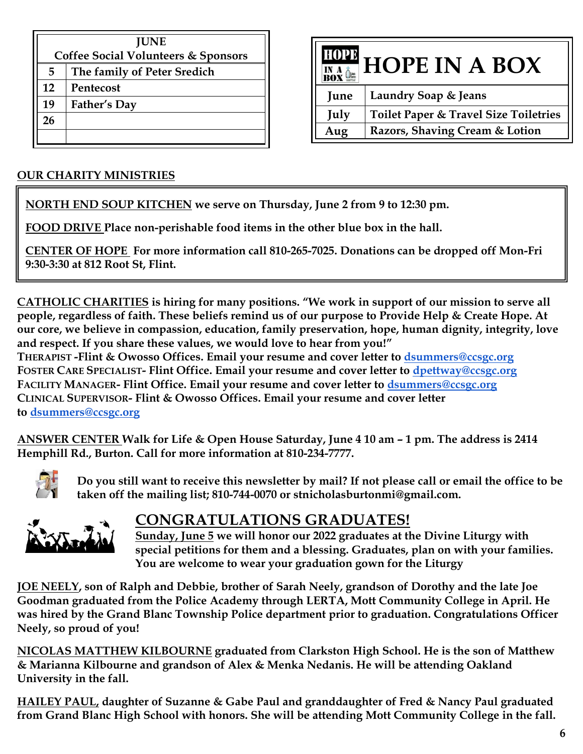|    | <b>JUNE</b>                                    |  |  |  |  |  |
|----|------------------------------------------------|--|--|--|--|--|
|    | <b>Coffee Social Volunteers &amp; Sponsors</b> |  |  |  |  |  |
| 5  | The family of Peter Sredich                    |  |  |  |  |  |
| 12 | Pentecost                                      |  |  |  |  |  |
| 19 | Father's Day                                   |  |  |  |  |  |
| 26 |                                                |  |  |  |  |  |
|    |                                                |  |  |  |  |  |



## **OUR CHARITY MINISTRIES**

**NORTH END SOUP KITCHEN we serve on Thursday, June 2 from 9 to 12:30 pm.**

**FOOD DRIVE Place non-perishable food items in the other blue box in the hall.**

**CENTER OF HOPE For more information call 810-265-7025. Donations can be dropped off Mon-Fri 9:30-3:30 at 812 Root St, Flint.**

**CATHOLIC CHARITIES is hiring for many positions. "We work in support of our mission to serve all people, regardless of faith. These beliefs remind us of our purpose to Provide Help & Create Hope. At our core, we believe in compassion, education, family preservation, hope, human dignity, integrity, love and respect. If you share these values, we would love to hear from you!"**

**THERAPIST -Flint & Owosso Offices. Email your resume and cover letter to [dsummers@ccsgc.org](mailto:dsummers@ccsgc.org) FOSTER CARE SPECIALIST- Flint Office. Email your resume and cover letter to [dpettway@ccsgc.org](mailto:dpettway@ccsgc.org) FACILITY MANAGER- Flint Office. Email your resume and cover letter to [dsummers@ccsgc.org](mailto:dsummers@ccsgc.org) CLINICAL SUPERVISOR- Flint & Owosso Offices. Email your resume and cover letter to [dsummers@ccsgc.org](mailto:dsummers@ccsgc.org)**

**ANSWER CENTER Walk for Life & Open House Saturday, June 4 10 am – 1 pm. The address is 2414 Hemphill Rd., Burton. Call for more information at 810-234-7777.**



**Do you still want to receive this newsletter by mail? If not please call or email the office to be taken off the mailing list; 810-744-0070 or stnicholasburtonmi@gmail.com.**



## **CONGRATULATIONS GRADUATES!**

**Sunday, June 5 we will honor our 2022 graduates at the Divine Liturgy with special petitions for them and a blessing. Graduates, plan on with your families. You are welcome to wear your graduation gown for the Liturgy**

**JOE NEELY, son of Ralph and Debbie, brother of Sarah Neely, grandson of Dorothy and the late Joe Goodman graduated from the Police Academy through LERTA, Mott Community College in April. He was hired by the Grand Blanc Township Police department prior to graduation. Congratulations Officer Neely, so proud of you!**

**NICOLAS MATTHEW KILBOURNE graduated from Clarkston High School. He is the son of Matthew & Marianna Kilbourne and grandson of Alex & Menka Nedanis. He will be attending Oakland University in the fall.** 

**HAILEY PAUL, daughter of Suzanne & Gabe Paul and granddaughter of Fred & Nancy Paul graduated from Grand Blanc High School with honors. She will be attending Mott Community College in the fall.**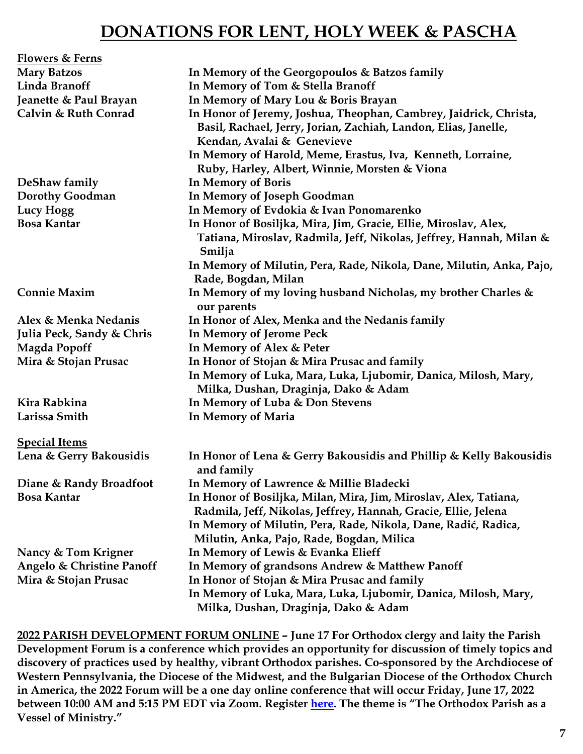## **DONATIONS FOR LENT, HOLY WEEK & PASCHA**

| <b>Flowers &amp; Ferns</b> |                                                                                                                                                                                                                                   |
|----------------------------|-----------------------------------------------------------------------------------------------------------------------------------------------------------------------------------------------------------------------------------|
| <b>Mary Batzos</b>         | In Memory of the Georgopoulos & Batzos family                                                                                                                                                                                     |
| Linda Branoff              | In Memory of Tom & Stella Branoff                                                                                                                                                                                                 |
| Jeanette & Paul Brayan     | In Memory of Mary Lou & Boris Brayan                                                                                                                                                                                              |
| Calvin & Ruth Conrad       | In Honor of Jeremy, Joshua, Theophan, Cambrey, Jaidrick, Christa,<br>Basil, Rachael, Jerry, Jorian, Zachiah, Landon, Elias, Janelle,<br>Kendan, Avalai & Genevieve<br>In Memory of Harold, Meme, Erastus, Iva, Kenneth, Lorraine, |
|                            | Ruby, Harley, Albert, Winnie, Morsten & Viona                                                                                                                                                                                     |
| DeShaw family              | <b>In Memory of Boris</b>                                                                                                                                                                                                         |
| <b>Dorothy Goodman</b>     | In Memory of Joseph Goodman                                                                                                                                                                                                       |
| Lucy Hogg                  | In Memory of Evdokia & Ivan Ponomarenko                                                                                                                                                                                           |
| <b>Bosa Kantar</b>         | In Honor of Bosiljka, Mira, Jim, Gracie, Ellie, Miroslav, Alex,<br>Tatiana, Miroslav, Radmila, Jeff, Nikolas, Jeffrey, Hannah, Milan &<br>Smilja                                                                                  |
|                            | In Memory of Milutin, Pera, Rade, Nikola, Dane, Milutin, Anka, Pajo,<br>Rade, Bogdan, Milan                                                                                                                                       |
| <b>Connie Maxim</b>        | In Memory of my loving husband Nicholas, my brother Charles &<br>our parents                                                                                                                                                      |
| Alex & Menka Nedanis       | In Honor of Alex, Menka and the Nedanis family                                                                                                                                                                                    |
| Julia Peck, Sandy & Chris  | <b>In Memory of Jerome Peck</b>                                                                                                                                                                                                   |
| <b>Magda Popoff</b>        | In Memory of Alex & Peter                                                                                                                                                                                                         |
| Mira & Stojan Prusac       | In Honor of Stojan & Mira Prusac and family                                                                                                                                                                                       |
|                            | In Memory of Luka, Mara, Luka, Ljubomir, Danica, Milosh, Mary,<br>Milka, Dushan, Draginja, Dako & Adam                                                                                                                            |
| Kira Rabkina               | In Memory of Luba & Don Stevens                                                                                                                                                                                                   |
| Larissa Smith              | In Memory of Maria                                                                                                                                                                                                                |
| <b>Special Items</b>       |                                                                                                                                                                                                                                   |
| Lena & Gerry Bakousidis    | In Honor of Lena & Gerry Bakousidis and Phillip & Kelly Bakousidis<br>and family                                                                                                                                                  |
| Diane & Randy Broadfoot    | In Memory of Lawrence & Millie Bladecki                                                                                                                                                                                           |
| <b>Bosa Kantar</b>         | In Honor of Bosiljka, Milan, Mira, Jim, Miroslav, Alex, Tatiana,<br>Radmila, Jeff, Nikolas, Jeffrey, Hannah, Gracie, Ellie, Jelena                                                                                                |
|                            | In Memory of Milutin, Pera, Rade, Nikola, Dane, Radić, Radica,                                                                                                                                                                    |
|                            | Milutin, Anka, Pajo, Rade, Bogdan, Milica                                                                                                                                                                                         |
| Nancy & Tom Krigner        | In Memory of Lewis & Evanka Elieff                                                                                                                                                                                                |
| Angelo & Christine Panoff  | In Memory of grandsons Andrew & Matthew Panoff                                                                                                                                                                                    |
| Mira & Stojan Prusac       | In Honor of Stojan & Mira Prusac and family                                                                                                                                                                                       |
|                            | In Memory of Luka, Mara, Luka, Ljubomir, Danica, Milosh, Mary,<br>Milka, Dushan, Draginja, Dako & Adam                                                                                                                            |

**2022 PARISH DEVELOPMENT FORUM ONLINE – June 17 For Orthodox clergy and laity the Parish Development Forum is a conference which provides an opportunity for discussion of timely topics and discovery of practices used by healthy, vibrant Orthodox parishes. Co-sponsored by the Archdiocese of Western Pennsylvania, the Diocese of the Midwest, and the Bulgarian Diocese of the Orthodox Church in America, the 2022 Forum will be a one day online conference that will occur Friday, June 17, 2022 between 10:00 AM and 5:15 PM EDT via Zoom. Register [here.](http://events.r20.constantcontact.com/register/event?oeidk=a07ej6fjzcf2ca0a6fd&llr=wy96qwbab) The theme is "The Orthodox Parish as a Vessel of Ministry."**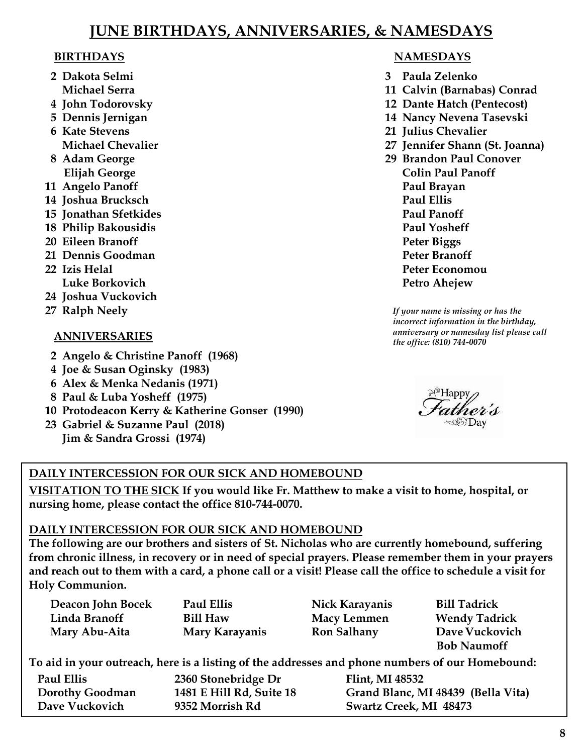## **JUNE BIRTHDAYS, ANNIVERSARIES, & NAMESDAYS**

#### **BIRTHDAYS**

- **2 Dakota Selmi Michael Serra**
- **4 John Todorovsky**
- **5 Dennis Jernigan**
- **6 Kate Stevens Michael Chevalier**
- **8 Adam George Elijah George**
- **11 Angelo Panoff**
- **14 Joshua Brucksch**
- **15 Jonathan Sfetkides**
- **18 Philip Bakousidis**
- **20 Eileen Branoff**
- **21 Dennis Goodman**
- **22 Izis Helal Luke Borkovich**
- **24 Joshua Vuckovich**
- **27 Ralph Neely**

#### **ANNIVERSARIES**

- **2 Angelo & Christine Panoff (1968)**
- **4 Joe & Susan Oginsky (1983)**
- **6 Alex & Menka Nedanis (1971)**
- **8 Paul & Luba Yosheff (1975)**
- **10 Protodeacon Kerry & Katherine Gonser (1990)**
- **23 Gabriel & Suzanne Paul (2018) Jim & Sandra Grossi (1974)**

## **NAMESDAYS**

- **3 Paula Zelenko**
- **11 Calvin (Barnabas) Conrad**
- **12 Dante Hatch (Pentecost)**
- **14 Nancy Nevena Tasevski**
- **21 Julius Chevalier**
- **27 Jennifer Shann (St. Joanna)**
- **29 Brandon Paul Conover Colin Paul Panoff Paul Brayan Paul Ellis Paul Panoff Paul Yosheff Peter Biggs Peter Branoff Peter Economou Petro Ahejew**

*If your name is missing or has the incorrect information in the birthday, anniversary or namesday list please call the office: (810) 744-0070*



### **DAILY INTERCESSION FOR OUR SICK AND HOMEBOUND**

**VISITATION TO THE SICK If you would like Fr. Matthew to make a visit to home, hospital, or nursing home, please contact the office 810-744-0070.**

#### **DAILY INTERCESSION FOR OUR SICK AND HOMEBOUND**

**The following are our brothers and sisters of St. Nicholas who are currently homebound, suffering from chronic illness, in recovery or in need of special prayers. Please remember them in your prayers and reach out to them with a card, a phone call or a visit! Please call the office to schedule a visit for Holy Communion.**

| Deacon John Bocek                                                                               | Paul Ellis               | Nick Karayanis         | <b>Bill Tadrick</b>                |  |  |  |  |
|-------------------------------------------------------------------------------------------------|--------------------------|------------------------|------------------------------------|--|--|--|--|
| Linda Branoff                                                                                   | <b>Bill Haw</b>          | <b>Macy Lemmen</b>     | <b>Wendy Tadrick</b>               |  |  |  |  |
| Mary Abu-Aita                                                                                   | Mary Karayanis           | <b>Ron Salhany</b>     | Dave Vuckovich                     |  |  |  |  |
|                                                                                                 |                          |                        | <b>Bob Naumoff</b>                 |  |  |  |  |
| To aid in your outreach, here is a listing of the addresses and phone numbers of our Homebound: |                          |                        |                                    |  |  |  |  |
| Paul Ellis                                                                                      | 2360 Stonebridge Dr      | Flint, MI 48532        |                                    |  |  |  |  |
| <b>Dorothy Goodman</b>                                                                          | 1481 E Hill Rd, Suite 18 |                        | Grand Blanc, MI 48439 (Bella Vita) |  |  |  |  |
| Dave Vuckovich                                                                                  | 9352 Morrish Rd          | Swartz Creek, MI 48473 |                                    |  |  |  |  |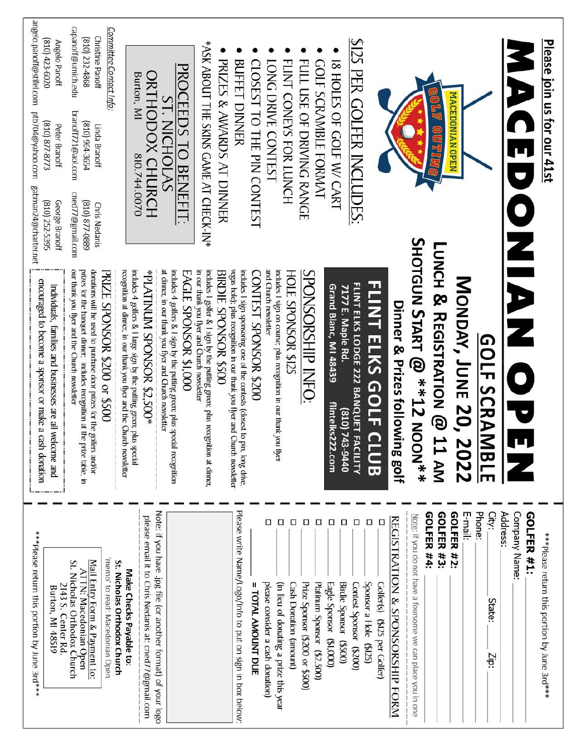| angelo.panoff@stifel.com<br>capanoff@umich.edu<br>(810) 232-4868<br>(810) 423-6020<br>Angelo Panoff<br>ptb704@yahoo.com<br>branoff721@aol.com<br>(810) 877-8773<br><b>420</b> 964-3654<br>Peter Branoff<br>gabman24@charter.net<br>cned77@gmail.com<br>George Branoff<br>6880-778 (018)<br>(810) 252-5395 | Committee Contact Info:<br>Christine Panoff<br>Linda Branoff<br><b>Chris Nedanis</b>                                                                                                                                                                             | PROCEEDS TO BENEFIT:<br>ORTHODOX CHURCH<br>Burton, MI<br><b>ST. NICHOLAS</b><br>810.744.0070                                                                                                        | *ASK ABOUT THE SKINS GAME AT CHECK-IN*<br>PRIZES & AWARDS AT DINNER<br>CLOSEST TO THE PIN CONTEST<br><b>BUFFET DINNER</b>                                                                                                                                                                                                                 | FLINT CONEYS FOR LUNCH<br>LONG DRIVE CONTEST                                                                             | IS HOLES OF GOLF W/ CART<br>FULL USE OF DRIVING RANGE<br><b>GOLF SCRAMBLE FORMAT</b>                   | \$125 PER GOLFER INCLUDES:                                                                                                          | OUT                                                                                                                                  | MACEDONIAN OPEN                                            | Please join us for our 41st<br>P<br>0                                                          |
|-----------------------------------------------------------------------------------------------------------------------------------------------------------------------------------------------------------------------------------------------------------------------------------------------------------|------------------------------------------------------------------------------------------------------------------------------------------------------------------------------------------------------------------------------------------------------------------|-----------------------------------------------------------------------------------------------------------------------------------------------------------------------------------------------------|-------------------------------------------------------------------------------------------------------------------------------------------------------------------------------------------------------------------------------------------------------------------------------------------------------------------------------------------|--------------------------------------------------------------------------------------------------------------------------|--------------------------------------------------------------------------------------------------------|-------------------------------------------------------------------------------------------------------------------------------------|--------------------------------------------------------------------------------------------------------------------------------------|------------------------------------------------------------|------------------------------------------------------------------------------------------------|
| our thank you flyer and the Church newsletter<br>prizes for the banquet dinner, includes recognition at the prize table, in<br>encouraged to become a sponsor or make a cash donation<br>Individuals, families and businesses are all welcome and                                                         | donations will be used to purchase door prizes for the golfers and/or<br>PRIZE SPONSOR \$200 or \$500<br>recognition at dinner, in our thank you flyer and the Church newsletter<br>includes $4$ golfers $\&$ I large sign by the putting green; plus<br>special | at dinner, in our thank you flyer and Church newsletter<br>includes 4 golfers & I sign by the putting green; plus special recognition<br>*00S.2\$ SOSNORS MUNITAJ9*<br><b>EAGLE SPONSOR \$1,000</b> | vegas hole); plus recognition in our thank you flyer and Church newsletter<br>includes I sign sponsoring one of the contests (closest to pin, long drive,<br>in our thank you flyer and Church newsletter<br>includes I golfer & I sign by the putting green; plus recognition at dinner<br>BIRDIE SPONSOR \$500<br>CONTEST SPONSOR \$200 | and Church newsletter<br>includes I sign on course; plus recognition in our thank you flyer<br><b>HOLE SPONSOR \$125</b> | SPONSORSHIP INFO:<br>Grand Blanc, MI 48439<br>flintelks22<br>22.com                                    | <b>FLINT ELKS GOLF C</b><br>FLINT ELKS LODGE 222 BANQUET FA<br>7177 E. Maple Rd.<br>0440-547 (018)<br><b>CILITY</b><br>່<br>ສ       | SHOLGON START @ **12 NOON***<br>LUNCH & REGISTRATION @ 11 AM<br>Dinner & Prizes followin<br>ng golf                                  | <b>MONDAY, JUNE 20, 2022</b><br><b>GOLF SCRAMBLE</b>       | ONDNAS                                                                                         |
| ***Please return this portion by June 3rd***<br><b>ATTN: Macedonian Open</b><br>Nicholas Orthodox Church<br>2143 S. Center Rd.<br><b>Burton, MI 48519</b>                                                                                                                                                 | 'memo' to read: Macedonian Open<br>Mail Entry Form & Payment to:<br>St. Nicholas Orthodox Church<br>Make Checks Payable to:                                                                                                                                      | Note: if you have .jpg file (or another format) of your logo<br>please email it to Chris Nedanis at: cned77@gmail.com                                                                               | Please write Name/Logo/Info to put on sign in box below:<br>TOTAL AMOUNT DUE                                                                                                                                                                                                                                                              | α<br>α<br>п<br>please consider a cash donation)<br>(in lieu of donating a prize this year<br>Cash Donation (amount)      | □<br>□<br>□<br>Prize Sponsor (\$200 or \$500)<br>Platinum Sponsor (\$2,500)<br>Eagle Sponsor (\$1,000) | $\Box$<br>α<br>Sponsor a Hole (\$125)<br>Birdie Sponsor (\$500)<br><b>Contest Sponsor</b><br>Golfer(s) (\$125 per Golfer)<br>(0025) | GOLFER #4:<br>GOLFER #3:<br>Note: if you do not have a foursome we can place you in one<br>REGISTRATION & SPONSORSHIP<br><b>FORM</b> | Phone:<br>GOLFER #2:<br>City:<br>E-mail:<br>State:<br>Zip: | Address:<br><b>GOLFER #1:</b><br>Company Name:<br>***Please return this portion by June 3rd*** |